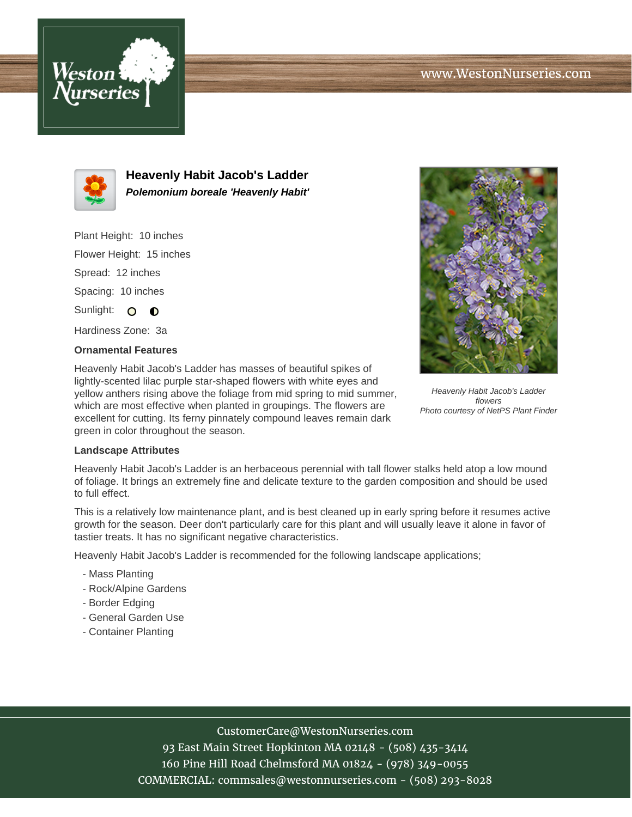



**Heavenly Habit Jacob's Ladder Polemonium boreale 'Heavenly Habit'**

Plant Height: 10 inches Flower Height: 15 inches Spread: 12 inches Spacing: 10 inches Sunlight: O  $\bullet$ 

Hardiness Zone: 3a

## **Ornamental Features**

Heavenly Habit Jacob's Ladder has masses of beautiful spikes of lightly-scented lilac purple star-shaped flowers with white eyes and yellow anthers rising above the foliage from mid spring to mid summer, which are most effective when planted in groupings. The flowers are excellent for cutting. Its ferny pinnately compound leaves remain dark green in color throughout the season.



Heavenly Habit Jacob's Ladder flowers Photo courtesy of NetPS Plant Finder

## **Landscape Attributes**

Heavenly Habit Jacob's Ladder is an herbaceous perennial with tall flower stalks held atop a low mound of foliage. It brings an extremely fine and delicate texture to the garden composition and should be used to full effect.

This is a relatively low maintenance plant, and is best cleaned up in early spring before it resumes active growth for the season. Deer don't particularly care for this plant and will usually leave it alone in favor of tastier treats. It has no significant negative characteristics.

Heavenly Habit Jacob's Ladder is recommended for the following landscape applications;

- Mass Planting
- Rock/Alpine Gardens
- Border Edging
- General Garden Use
- Container Planting

## CustomerCare@WestonNurseries.com

93 East Main Street Hopkinton MA 02148 - (508) 435-3414 160 Pine Hill Road Chelmsford MA 01824 - (978) 349-0055 COMMERCIAL: commsales@westonnurseries.com - (508) 293-8028